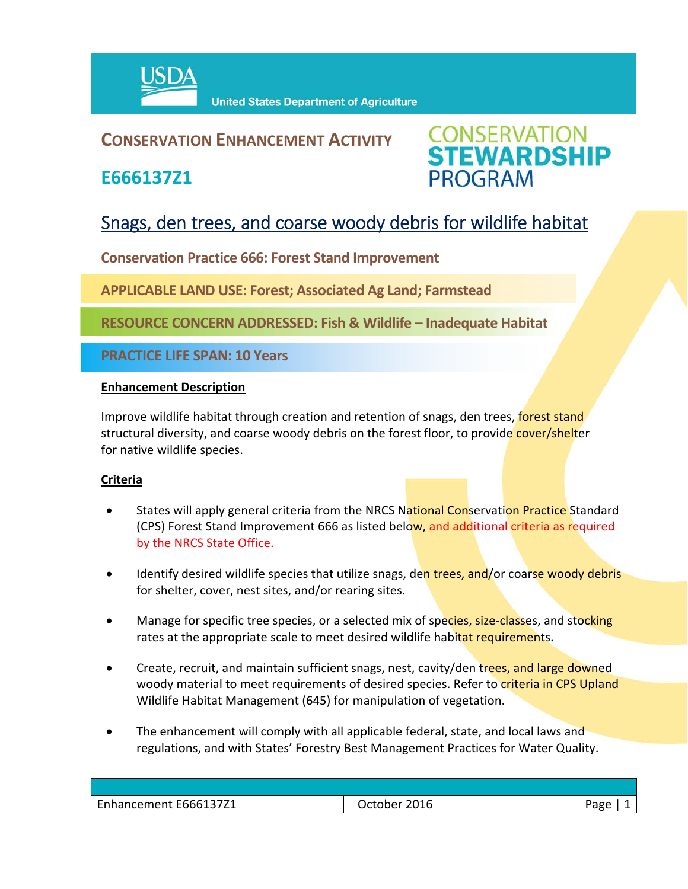

### **CONSERVATION ENHANCEMENT ACTIVITY**

**E666137Z1**



## Snags, den trees, and coarse woody debris for wildlife habitat

**Conservation Practice 666: Forest Stand Improvement**

**APPLICABLE LAND USE: Forest; Associated Ag Land; Farmstead**

**RESOURCE CONCERN ADDRESSED: Fish & Wildlife – Inadequate Habitat**

**PRACTICE LIFE SPAN: 10 Years**

#### **Enhancement Description**

Improve wildlife habitat through creation and retention of snags, den trees, **forest stand** structural diversity, and coarse woody debris on the forest floor, to provide cover/shelter for native wildlife species.

#### **Criteria**

- States will apply general criteria from the NRCS National Conservation Practice Standard (CPS) Forest Stand Improvement 666 as listed below, and additional criteria as required by the NRCS State Office.
- Identify desired wildlife species that utilize snags, den trees, and/or coarse woody debris for shelter, cover, nest sites, and/or rearing sites.
- Manage for specific tree species, or a selected mix of species, size-classes, and stocking rates at the appropriate scale to meet desired wildlife habitat requirements.
- Create, recruit, and maintain sufficient snags, nest, cavity/den trees, and large downed woody material to meet requirements of desired species. Refer to criteria in CPS Upland Wildlife Habitat Management (645) for manipulation of vegetation.
- The enhancement will comply with all applicable federal, state, and local laws and regulations, and with States' Forestry Best Management Practices for Water Quality.

| Enhancement E666137Z1<br>2016<br>۵۵۵'<br>)ctober |  |
|--------------------------------------------------|--|
|                                                  |  |